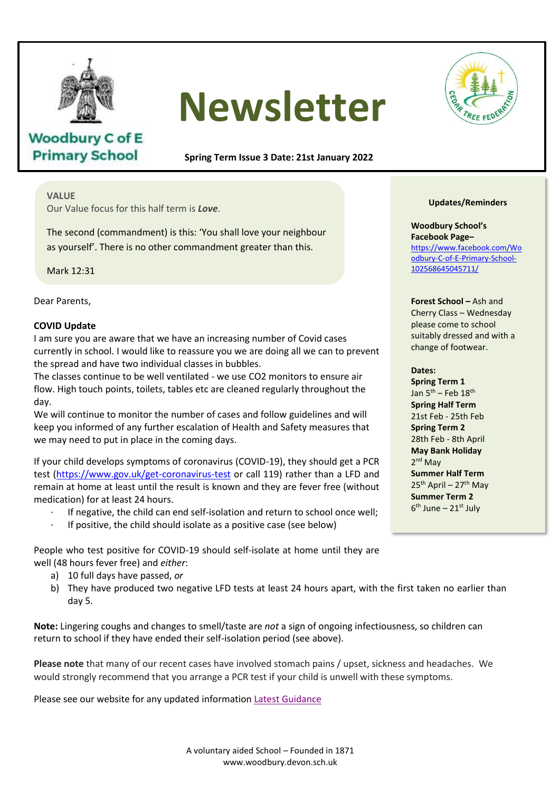

**Woodbury C of E Primary School** 

# **Newsletter**

**Spring Term Issue 3 Date: 21st January 2022**

## **VALUE**

Our Value focus for this half term is *Love*.

The second (commandment) is this: 'You shall love your neighbour as yourself'. There is no other commandment greater than this.

Mark 12:31

Dear Parents,

## **COVID Update**

I am sure you are aware that we have an increasing number of Covid cases currently in school. I would like to reassure you we are doing all we can to prevent the spread and have two individual classes in bubbles.

The classes continue to be well ventilated - we use CO2 monitors to ensure air flow. High touch points, toilets, tables etc are cleaned regularly throughout the day.

uay.<br>We will continue to monitor the number of cases and follow guidelines and will keep you informed of any further escalation of Health and Safety measures that keep you informed of any further escalation of Health and Safety<br>we may need to put in place in the coming days.

If your child develops symptoms of coronavirus (COVID-19), they should get a PCR test [\(https://www.gov.uk/get-coronavirus-test](https://www.gov.uk/get-coronavirus-test) or call 119) rather than a LFD and remain at home at least until the result is known and they are fever free (without medication) for at least 24 bours medication) for at least 24 hours.

- · If negative, the child can end self-isolation and return to school once well;
- If positive, the child should isolate as a positive case (see below)

People who test positive for COVID-19 should self-isolate at home until they are well (48 hours fever free) and *either*:

- a) 10 full days have passed, *or*
- a) They have produced two negative LFD tests at least 24 hours apart, with the first taken no earlier than b day 5.

**Note:** Lingering coughs and changes to smell/taste are *not* a sign of ongoing infectiousness, so children can return to school if they have ended their self-isolation period (see above).

**Please note** that many of our recent cases have involved stomach pains / upset, sickness and headaches. We would strongly recommend that you arrange a PCR test if your child is unwell with these symptoms.

Please see our website for any updated information [Latest Guidance](https://www.woodbury.devon.sch.uk/web/latest_guidance/508669)



## **Updates/Reminders**

**Woodbury School's Facebook Page–** [https://www.facebook.com/Wo](https://www.facebook.com/Woodbury-C-of-E-Primary-School-102568645045711/) [odbury-C-of-E-Primary-School-](https://www.facebook.com/Woodbury-C-of-E-Primary-School-102568645045711/)[102568645045711/](https://www.facebook.com/Woodbury-C-of-E-Primary-School-102568645045711/)

**Forest School –** Ash and Cherry Class – Wednesday please come to school suitably dressed and with a change of footwear.

#### **Dates:**

**Spring Term 1** Jan 5<sup>th</sup> – Feb 18<sup>th</sup> **Spring Half Term** 21st Feb - 25th Feb **Spring Term 2** 28th Feb - 8th April **May Bank Holiday** 2<sup>nd</sup> May **Summer Half Term**  $25<sup>th</sup>$  April – 27<sup>th</sup> May **Summer Term 2**  $6<sup>th</sup>$  June – 21st July